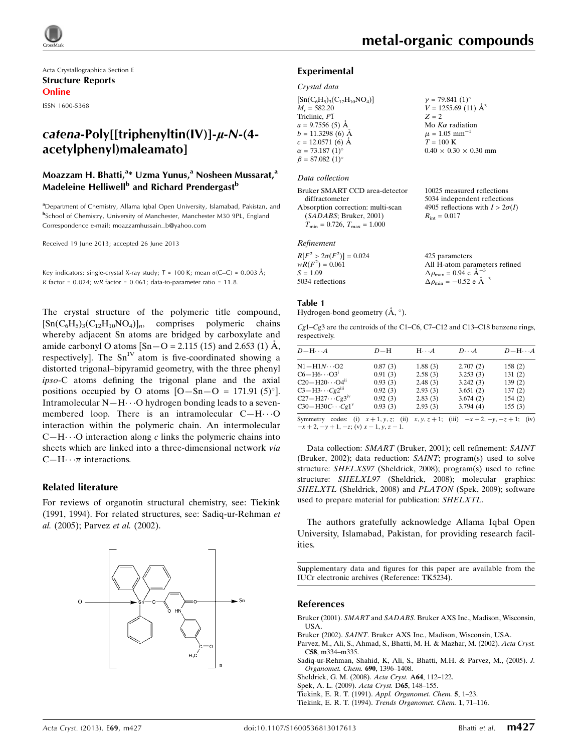Acta Crystallographica Section E Structure Reports Online

ISSN 1600-5368

# catena-Poly[[triphenyltin(IV)]- $\mu$ -N-(4acetylphenyl)maleamato]

## Moazzam H. Bhatti,<sup>a</sup>\* Uzma Yunus,<sup>a</sup> Nosheen Mussarat,<sup>a</sup> Madeleine Helliwell<sup>b</sup> and Richard Prendergast<sup>b</sup>

<sup>a</sup>Department of Chemistry, Allama Iqbal Open University, Islamabad, Pakistan, and b School of Chemistry, University of Manchester, Manchester M30 9PL, England Correspondence e-mail: [moazzamhussain\\_b@yahoo.com](https://scripts.iucr.org/cgi-bin/cr.cgi?rm=pdfbb&cnor=tk5234&bbid=BB8)

Received 19 June 2013; accepted 26 June 2013

Key indicators: single-crystal X-ray study;  $T = 100$  K; mean  $\sigma$ (C–C) = 0.003 Å; R factor =  $0.024$ ; wR factor =  $0.061$ ; data-to-parameter ratio =  $11.8$ .

The crystal structure of the polymeric title compound,  $[Sn(C_6H_5)_3(C_{12}H_{10}NO_4)]_n$ , comprises polymeric chains whereby adjacent Sn atoms are bridged by carboxylate and amide carbonyl O atoms  $[Sn-O = 2.115 (15)$  and 2.653 (1) Å, respectively]. The  $Sn<sup>IV</sup>$  atom is five-coordinated showing a distorted trigonal–bipyramid geometry, with the three phenyl ipso-C atoms defining the trigonal plane and the axial positions occupied by O atoms  $[O - Sn - O = 171.91 (5)°]$ . Intramolecular  $N-H\cdots O$  hydrogen bonding leads to a sevenmembered loop. There is an intramolecular  $C-H\cdots O$ interaction within the polymeric chain. An intermolecular  $C-H\cdots$ O interaction along c links the polymeric chains into sheets which are linked into a three-dimensional network via  $C-H \cdot \cdot \pi$  interactions.

#### Related literature

For reviews of organotin structural chemistry, see: Tiekink (1991, 1994). For related structures, see: Sadiq-ur-Rehman et al. (2005); Parvez et al. (2002).



H-atom parameters refined

#### Experimental

#### Crystal data

 $[Sn(C_6H_5)_3(C_{12}H_{10}NO_4)]$  $M_r = 582.20$ Triclinic, P1  $a = 9.7556(5)$  Å  $b = 11.3298(6)$  Å  $c = 12.0571(6)$  Å  $\alpha = 73.187 \ (1)^{\circ}$  $\beta = 87.082 \ (1)^{\circ}$  $\gamma = 79.841 \ (1)^{\circ}$  $V = 1255.69(11)$   $\AA^3$  $Z = 2$ Mo  $K\alpha$  radiation  $\mu = 1.05$  mm<sup>-1</sup>  $T=100~\mathrm{K}$  $0.40 \times 0.30 \times 0.30$  mm

#### Data collection

| Bruker SMART CCD area-detector          | 10025 measured reflections             |
|-----------------------------------------|----------------------------------------|
| diffractometer                          | 5034 independent reflections           |
| Absorption correction: multi-scan       | 4905 reflections with $I > 2\sigma(I)$ |
| (SADABS; Bruker, 2001)                  | $R_{\rm int} = 0.017$                  |
| $T_{\min} = 0.726$ , $T_{\max} = 1.000$ |                                        |

#### Refinement

| $R[F^2 > 2\sigma(F^2)] = 0.024$ | 425 parameters                                     |
|---------------------------------|----------------------------------------------------|
| $wR(F^2) = 0.061$               | All H-atom paramete                                |
| $S = 1.09$                      | $\Delta \rho_{\text{max}} = 0.94 \text{ e A}^{-3}$ |
| 5034 reflections                | $\Delta \rho_{\text{min}} = -0.52$ e $\AA^{-3}$    |
|                                 |                                                    |

#### Table 1

Hydrogen-bond geometry  $(\AA, \degree)$ .

Cg1–Cg3 are the centroids of the C1–C6, C7–C12 and C13–C18 benzene rings, respectively.

| $D - H \cdots A$                 | $D-H$   | $H \cdot \cdot \cdot A$ | $D\cdots A$ | $D - H \cdots A$ |
|----------------------------------|---------|-------------------------|-------------|------------------|
| $N1 - H1N \cdots O2$             | 0.87(3) | 1.88(3)                 | 2.707(2)    | 158(2)           |
| $C6 - H6 \cdots O3^1$            | 0.91(3) | 2.58(3)                 | 3.253(3)    | 131(2)           |
| $C20 - H20 \cdots O4n$           | 0.93(3) | 2.48(3)                 | 3.242(3)    | 139(2)           |
| $C3-H3\cdots Cg2$ <sup>iii</sup> | 0.92(3) | 2.93(3)                 | 3.651(2)    | 137(2)           |
| $C27 - H27 \cdots Cg3^W$         | 0.92(3) | 2.83(3)                 | 3.674(2)    | 154(2)           |
| $C30 - H30C \cdots Cg1^v$        | 0.93(3) | 2.93(3)                 | 3.794(4)    | 155(3)           |
|                                  |         |                         |             |                  |

Symmetry codes: (i)  $x + 1, y, z$ ; (ii)  $x, y, z + 1$ ; (iii)  $-x + 2, -y, -z + 1$ ; (iv)  $-x + 2, -y + 1, -z$ ; (v)  $x - 1, y, z - 1$ .

Data collection: SMART (Bruker, 2001); cell refinement: SAINT (Bruker, 2002); data reduction: SAINT; program(s) used to solve structure: SHELXS97 (Sheldrick, 2008); program(s) used to refine structure: SHELXL97 (Sheldrick, 2008); molecular graphics: SHELXTL (Sheldrick, 2008) and PLATON (Spek, 2009); software used to prepare material for publication: SHELXTL.

The authors gratefully acknowledge Allama Iqbal Open University, Islamabad, Pakistan, for providing research facilities.

Supplementary data and figures for this paper are available from the IUCr electronic archives (Reference: TK5234).

#### References

- Bruker (2001). SMART and SADABS[. Bruker AXS Inc., Madison, Wisconsin,](https://scripts.iucr.org/cgi-bin/cr.cgi?rm=pdfbb&cnor=tk5234&bbid=BB1) [USA.](https://scripts.iucr.org/cgi-bin/cr.cgi?rm=pdfbb&cnor=tk5234&bbid=BB1)
- Bruker (2002). SAINT[. Bruker AXS Inc., Madison, Wisconsin, USA.](https://scripts.iucr.org/cgi-bin/cr.cgi?rm=pdfbb&cnor=tk5234&bbid=BB2)
- [Parvez, M., Ali, S., Ahmad, S., Bhatti, M. H. & Mazhar, M. \(2002\).](https://scripts.iucr.org/cgi-bin/cr.cgi?rm=pdfbb&cnor=tk5234&bbid=BB3) Acta Cryst. C58[, m334–m335.](https://scripts.iucr.org/cgi-bin/cr.cgi?rm=pdfbb&cnor=tk5234&bbid=BB3)
- [Sadiq-ur-Rehman, Shahid, K, Ali, S., Bhatti, M.H. & Parvez, M., \(2005\).](https://scripts.iucr.org/cgi-bin/cr.cgi?rm=pdfbb&cnor=tk5234&bbid=BB4) J. [Organomet. Chem.](https://scripts.iucr.org/cgi-bin/cr.cgi?rm=pdfbb&cnor=tk5234&bbid=BB4) 690, 1396–1408.
- [Sheldrick, G. M. \(2008\).](https://scripts.iucr.org/cgi-bin/cr.cgi?rm=pdfbb&cnor=tk5234&bbid=BB5) Acta Cryst. A64, 112–122.
- [Spek, A. L. \(2009\).](https://scripts.iucr.org/cgi-bin/cr.cgi?rm=pdfbb&cnor=tk5234&bbid=BB6) Acta Cryst. D65, 148–155.
- Tiekink, E. R. T. (1991). [Appl. Organomet. Chem.](https://scripts.iucr.org/cgi-bin/cr.cgi?rm=pdfbb&cnor=tk5234&bbid=BB7) 5, 1–23.
- Tiekink, E. R. T. (1994). [Trends Organomet. Chem.](https://scripts.iucr.org/cgi-bin/cr.cgi?rm=pdfbb&cnor=tk5234&bbid=BB8) 1, 71–116.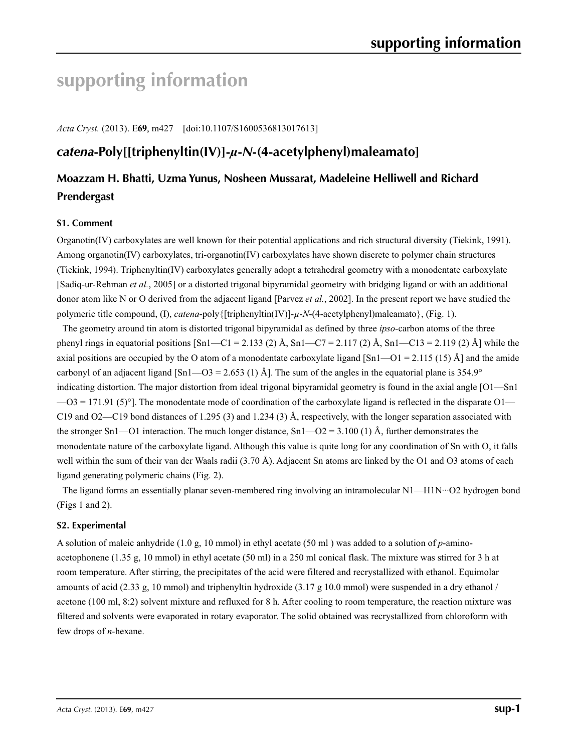# **supporting information**

*Acta Cryst.* (2013). E**69**, m427 [doi:10.1107/S1600536813017613]

# *catena***-Poly[[triphenyltin(IV)]-***µ***-***N***-(4-acetylphenyl)maleamato]**

# **Moazzam H. Bhatti, Uzma Yunus, Nosheen Mussarat, Madeleine Helliwell and Richard Prendergast**

## **S1. Comment**

Organotin(IV) carboxylates are well known for their potential applications and rich structural diversity (Tiekink, 1991). Among organotin(IV) carboxylates, tri-organotin(IV) carboxylates have shown discrete to polymer chain structures (Tiekink, 1994). Triphenyltin(IV) carboxylates generally adopt a tetrahedral geometry with a monodentate carboxylate [Sadiq-ur-Rehman *et al.*, 2005] or a distorted trigonal bipyramidal geometry with bridging ligand or with an additional donor atom like N or O derived from the adjacent ligand [Parvez *et al.*, 2002]. In the present report we have studied the polymeric title compound, (I), *catena*-poly{[triphenyltin(IV)]-*µ*-*N*-(4-acetylphenyl)maleamato}, (Fig. 1).

The geometry around tin atom is distorted trigonal bipyramidal as defined by three *ipso*-carbon atoms of the three phenyl rings in equatorial positions  $[\text{Sn1}--\text{Cl}=2.133$  (2) Å,  $\text{Sn1}--\text{Cl}=2.117$  (2) Å,  $\text{Sn1}--\text{Cl3}=2.119$  (2) Å] while the axial positions are occupied by the O atom of a monodentate carboxylate ligand [Sn1—O1 = 2.115 (15) Å] and the amide carbonyl of an adjacent ligand [Sn1—O3 = 2.653 (1) Å]. The sum of the angles in the equatorial plane is 354.9° indicating distortion. The major distortion from ideal trigonal bipyramidal geometry is found in the axial angle [O1—Sn1  $-03 = 171.91$  (5)°]. The monodentate mode of coordination of the carboxylate ligand is reflected in the disparate O1— C19 and O2—C19 bond distances of 1.295 (3) and 1.234 (3) Å, respectively, with the longer separation associated with the stronger Sn1—O1 interaction. The much longer distance,  $Sn1$ —O2 = 3.100 (1) Å, further demonstrates the monodentate nature of the carboxylate ligand. Although this value is quite long for any coordination of Sn with O, it falls well within the sum of their van der Waals radii (3.70 Å). Adjacent Sn atoms are linked by the O1 and O3 atoms of each ligand generating polymeric chains (Fig. 2).

The ligand forms an essentially planar seven-membered ring involving an intramolecular N1—H1N···O2 hydrogen bond (Figs 1 and 2).

#### **S2. Experimental**

A solution of maleic anhydride (1.0 g, 10 mmol) in ethyl acetate (50 ml ) was added to a solution of *p*-aminoacetophonene (1.35 g, 10 mmol) in ethyl acetate (50 ml) in a 250 ml conical flask. The mixture was stirred for 3 h at room temperature. After stirring, the precipitates of the acid were filtered and recrystallized with ethanol. Equimolar amounts of acid (2.33 g, 10 mmol) and triphenyltin hydroxide (3.17 g 10.0 mmol) were suspended in a dry ethanol / acetone (100 ml, 8:2) solvent mixture and refluxed for 8 h. After cooling to room temperature, the reaction mixture was filtered and solvents were evaporated in rotary evaporator. The solid obtained was recrystallized from chloroform with few drops of *n*-hexane.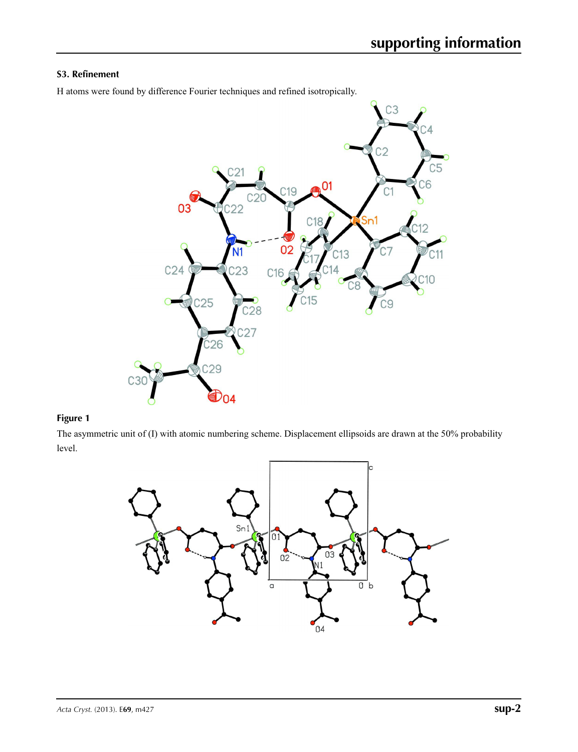## **S3. Refinement**

H atoms were found by difference Fourier techniques and refined isotropically.



### **Figure 1**

The asymmetric unit of (I) with atomic numbering scheme. Displacement ellipsoids are drawn at the 50% probability level.

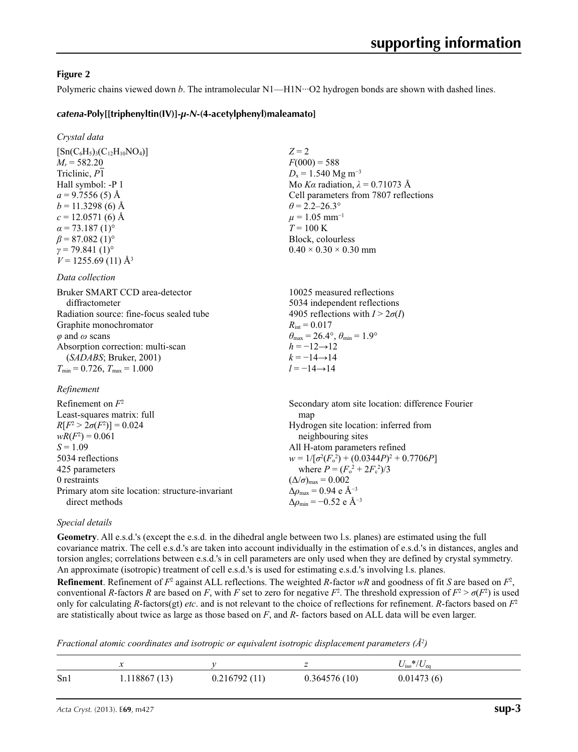### **Figure 2**

Polymeric chains viewed down *b*. The intramolecular N1—H1N···O2 hydrogen bonds are shown with dashed lines.

 $Z = 2$ 

 $F(000) = 588$  $D_x = 1.540$  Mg m<sup>-3</sup>

 $\theta$  = 2.2–26.3°  $\mu = 1.05$  mm<sup>-1</sup>  $T = 100 \text{ K}$ Block, colourless  $0.40 \times 0.30 \times 0.30$  mm

Mo *Kα* radiation, *λ* = 0.71073 Å Cell parameters from 7807 reflections

#### *catena***-Poly[[triphenyltin(IV)]-***µ***-***N***-(4-acetylphenyl)maleamato]**

*Crystal data*

 $[Sn(C_6H_5)_3(C_{12}H_{10}NO_4)]$  $M_r = 582.20$ Triclinic, *P*1 Hall symbol: -P 1  $a = 9.7556(5)$  Å  $b = 11.3298(6)$  Å  $c = 12.0571(6)$  Å  $\alpha$  = 73.187 (1)<sup>o</sup>  $\beta$  = 87.082 (1)<sup>o</sup>  $\gamma$  = 79.841 (1)<sup>o</sup>  $V = 1255.69(11)$  Å<sup>3</sup>

#### *Data collection*

| Bruker SMART CCD area-detector           | 10025 measured reflections                                              |
|------------------------------------------|-------------------------------------------------------------------------|
| diffractometer                           | 5034 independent reflections                                            |
| Radiation source: fine-focus sealed tube | 4905 reflections with $I > 2\sigma(I)$                                  |
| Graphite monochromator                   | $R_{\rm int} = 0.017$                                                   |
| $\varphi$ and $\omega$ scans             | $\theta_{\text{max}} = 26.4^{\circ}, \theta_{\text{min}} = 1.9^{\circ}$ |
| Absorption correction: multi-scan        | $h = -12 \rightarrow 12$                                                |
| (SADABS; Bruker, 2001)                   | $k = -14 \rightarrow 14$                                                |
| $T_{\min}$ = 0.726, $T_{\max}$ = 1.000   | $l = -14 \rightarrow 14$                                                |

#### *Refinement*

| Refinement on $F^2$                             | Secondary atom site location: difference Fourier          |
|-------------------------------------------------|-----------------------------------------------------------|
| Least-squares matrix: full                      | map                                                       |
| $R[F^2 > 2\sigma(F^2)] = 0.024$                 | Hydrogen site location: inferred from                     |
| $wR(F^2) = 0.061$                               | neighbouring sites                                        |
| $S = 1.09$                                      | All H-atom parameters refined                             |
| 5034 reflections                                | $w = 1/[\sigma^2(F_0^2) + (0.0344P)^2 + 0.7706P]$         |
| 425 parameters                                  | where $P = (F_o^2 + 2F_c^2)/3$                            |
| 0 restraints                                    | $(\Delta/\sigma)_{\text{max}} = 0.002$                    |
| Primary atom site location: structure-invariant | $\Delta\rho_{\text{max}} = 0.94$ e Å <sup>-3</sup>        |
| direct methods                                  | $\Delta\rho_{\rm min} = -0.52 \text{ e } \text{\AA}^{-3}$ |

#### *Special details*

**Geometry**. All e.s.d.'s (except the e.s.d. in the dihedral angle between two l.s. planes) are estimated using the full covariance matrix. The cell e.s.d.'s are taken into account individually in the estimation of e.s.d.'s in distances, angles and torsion angles; correlations between e.s.d.'s in cell parameters are only used when they are defined by crystal symmetry. An approximate (isotropic) treatment of cell e.s.d.'s is used for estimating e.s.d.'s involving l.s. planes. **Refinement**. Refinement of  $F^2$  against ALL reflections. The weighted *R*-factor  $wR$  and goodness of fit *S* are based on  $F^2$ , conventional *R*-factors *R* are based on *F*, with *F* set to zero for negative  $F^2$ . The threshold expression of  $F^2 > \sigma(F^2)$  is used only for calculating *R*-factors(gt) *etc*. and is not relevant to the choice of reflections for refinement. *R*-factors based on *F*<sup>2</sup> are statistically about twice as large as those based on *F*, and *R*- factors based on ALL data will be even larger.

*Fractional atomic coordinates and isotropic or equivalent isotropic displacement parameters (Å<sup>2</sup>)* 

|     | $\ddot{\phantom{0}}$ |              |              | $U_{\rm iso}*/U_{\rm eq}$ |
|-----|----------------------|--------------|--------------|---------------------------|
| Sn1 | 1.118867(13)         | 0.216792(11) | 0.364576(10) | 0.01473(6)                |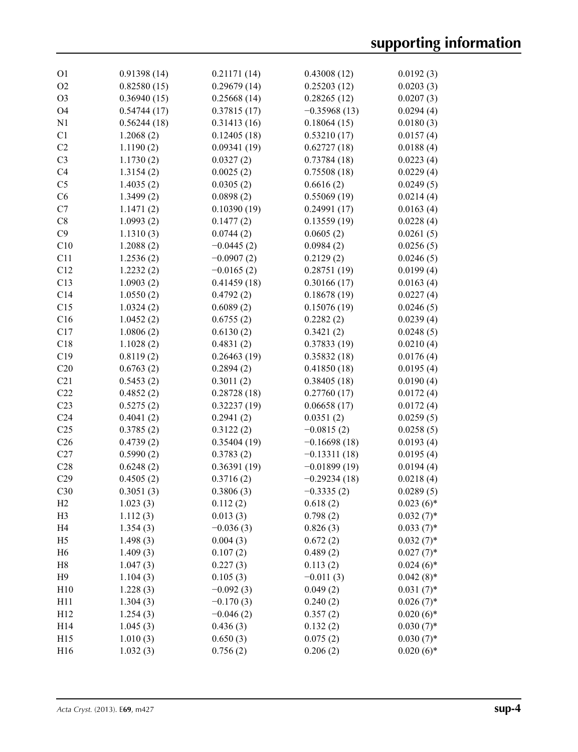| O <sub>1</sub>  | 0.91398(14) | 0.21171(14)  | 0.43008(12)    | 0.0192(3)    |
|-----------------|-------------|--------------|----------------|--------------|
| O <sub>2</sub>  | 0.82580(15) | 0.29679(14)  | 0.25203(12)    | 0.0203(3)    |
| O <sub>3</sub>  | 0.36940(15) | 0.25668(14)  | 0.28265(12)    | 0.0207(3)    |
| O <sub>4</sub>  | 0.54744(17) | 0.37815(17)  | $-0.35968(13)$ | 0.0294(4)    |
| N1              | 0.56244(18) | 0.31413(16)  | 0.18064(15)    | 0.0180(3)    |
| C1              | 1.2068(2)   | 0.12405(18)  | 0.53210(17)    | 0.0157(4)    |
| C2              | 1.1190(2)   | 0.09341(19)  | 0.62727(18)    | 0.0188(4)    |
| C <sub>3</sub>  | 1.1730(2)   | 0.0327(2)    | 0.73784(18)    | 0.0223(4)    |
| C <sub>4</sub>  | 1.3154(2)   | 0.0025(2)    | 0.75508(18)    | 0.0229(4)    |
| C <sub>5</sub>  | 1.4035(2)   | 0.0305(2)    | 0.6616(2)      | 0.0249(5)    |
| C6              | 1.3499(2)   | 0.0898(2)    | 0.55069(19)    | 0.0214(4)    |
| C7              | 1.1471(2)   | 0.10390(19)  | 0.24991(17)    | 0.0163(4)    |
| C8              | 1.0993(2)   | 0.1477(2)    | 0.13559(19)    | 0.0228(4)    |
| C9              | 1.1310(3)   | 0.0744(2)    | 0.0605(2)      | 0.0261(5)    |
| C10             | 1.2088(2)   | $-0.0445(2)$ | 0.0984(2)      | 0.0256(5)    |
| C11             | 1.2536(2)   | $-0.0907(2)$ | 0.2129(2)      | 0.0246(5)    |
| C12             | 1.2232(2)   | $-0.0165(2)$ | 0.28751(19)    | 0.0199(4)    |
| C13             | 1.0903(2)   | 0.41459(18)  | 0.30166(17)    | 0.0163(4)    |
| C14             | 1.0550(2)   | 0.4792(2)    | 0.18678(19)    | 0.0227(4)    |
| C15             | 1.0324(2)   | 0.6089(2)    | 0.15076(19)    | 0.0246(5)    |
| C16             | 1.0452(2)   | 0.6755(2)    | 0.2282(2)      | 0.0239(4)    |
| C17             | 1.0806(2)   | 0.6130(2)    | 0.3421(2)      | 0.0248(5)    |
| C18             |             | 0.4831(2)    |                |              |
|                 | 1.1028(2)   |              | 0.37833(19)    | 0.0210(4)    |
| C19             | 0.8119(2)   | 0.26463(19)  | 0.35832(18)    | 0.0176(4)    |
| C20             | 0.6763(2)   | 0.2894(2)    | 0.41850(18)    | 0.0195(4)    |
| C21             | 0.5453(2)   | 0.3011(2)    | 0.38405(18)    | 0.0190(4)    |
| C22             | 0.4852(2)   | 0.28728(18)  | 0.27760(17)    | 0.0172(4)    |
| C <sub>23</sub> | 0.5275(2)   | 0.32237(19)  | 0.06658(17)    | 0.0172(4)    |
| C <sub>24</sub> | 0.4041(2)   | 0.2941(2)    | 0.0351(2)      | 0.0259(5)    |
| C <sub>25</sub> | 0.3785(2)   | 0.3122(2)    | $-0.0815(2)$   | 0.0258(5)    |
| C <sub>26</sub> | 0.4739(2)   | 0.35404(19)  | $-0.16698(18)$ | 0.0193(4)    |
| C27             | 0.5990(2)   | 0.3783(2)    | $-0.13311(18)$ | 0.0195(4)    |
| C28             | 0.6248(2)   | 0.36391(19)  | $-0.01899(19)$ | 0.0194(4)    |
| C29             | 0.4505(2)   | 0.3716(2)    | $-0.29234(18)$ | 0.0218(4)    |
| C30             | 0.3051(3)   | 0.3806(3)    | $-0.3335(2)$   | 0.0289(5)    |
| H2              | 1.023(3)    | 0.112(2)     | 0.618(2)       | $0.023(6)$ * |
| H <sub>3</sub>  | 1.112(3)    | 0.013(3)     | 0.798(2)       | $0.032(7)$ * |
| H <sub>4</sub>  | 1.354(3)    | $-0.036(3)$  | 0.826(3)       | $0.033(7)$ * |
| H <sub>5</sub>  | 1.498(3)    | 0.004(3)     | 0.672(2)       | $0.032(7)$ * |
| H <sub>6</sub>  | 1.409(3)    | 0.107(2)     | 0.489(2)       | $0.027(7)$ * |
| H <sub>8</sub>  | 1.047(3)    | 0.227(3)     | 0.113(2)       | $0.024(6)*$  |
| H9              | 1.104(3)    | 0.105(3)     | $-0.011(3)$    | $0.042(8)$ * |
| H10             | 1.228(3)    | $-0.092(3)$  | 0.049(2)       | $0.031(7)$ * |
| H11             | 1.304(3)    | $-0.170(3)$  | 0.240(2)       | $0.026(7)$ * |
| H12             | 1.254(3)    | $-0.046(2)$  | 0.357(2)       | $0.020(6)$ * |
| H14             | 1.045(3)    | 0.436(3)     | 0.132(2)       | $0.030(7)$ * |
| H15             | 1.010(3)    | 0.650(3)     | 0.075(2)       | $0.030(7)$ * |
| H16             | 1.032(3)    | 0.756(2)     | 0.206(2)       | $0.020(6)$ * |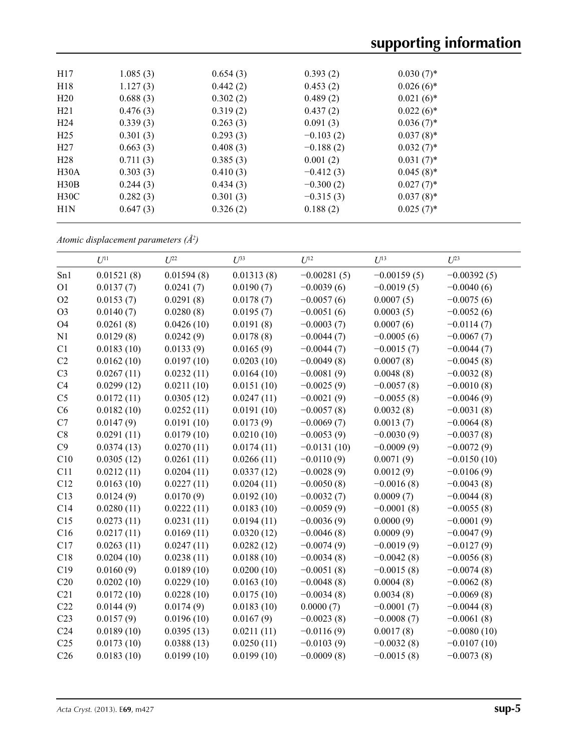| H17             | 1.085(3) | 0.654(3) | 0.393(2)    | $0.030(7)$ * |  |
|-----------------|----------|----------|-------------|--------------|--|
| H18             | 1.127(3) | 0.442(2) | 0.453(2)    | $0.026(6)$ * |  |
| H20             | 0.688(3) | 0.302(2) | 0.489(2)    | $0.021(6)$ * |  |
| H21             | 0.476(3) | 0.319(2) | 0.437(2)    | $0.022(6)$ * |  |
| H <sub>24</sub> | 0.339(3) | 0.263(3) | 0.091(3)    | $0.036(7)$ * |  |
| H <sub>25</sub> | 0.301(3) | 0.293(3) | $-0.103(2)$ | $0.037(8)$ * |  |
| H27             | 0.663(3) | 0.408(3) | $-0.188(2)$ | $0.032(7)$ * |  |
| H <sub>28</sub> | 0.711(3) | 0.385(3) | 0.001(2)    | $0.031(7)^*$ |  |
| H30A            | 0.303(3) | 0.410(3) | $-0.412(3)$ | $0.045(8)$ * |  |
| H30B            | 0.244(3) | 0.434(3) | $-0.300(2)$ | $0.027(7)$ * |  |
| H30C            | 0.282(3) | 0.301(3) | $-0.315(3)$ | $0.037(8)$ * |  |
| H1N             | 0.647(3) | 0.326(2) | 0.188(2)    | $0.025(7)^*$ |  |
|                 |          |          |             |              |  |

*Atomic displacement parameters (Å2 )*

|                 | $U^{11}$   | $U^{22}$   | $U^{33}$   | $U^{12}$      | $U^{13}$      | $U^{23}$      |
|-----------------|------------|------------|------------|---------------|---------------|---------------|
| Sn1             | 0.01521(8) | 0.01594(8) | 0.01313(8) | $-0.00281(5)$ | $-0.00159(5)$ | $-0.00392(5)$ |
| O <sub>1</sub>  | 0.0137(7)  | 0.0241(7)  | 0.0190(7)  | $-0.0039(6)$  | $-0.0019(5)$  | $-0.0040(6)$  |
| O2              | 0.0153(7)  | 0.0291(8)  | 0.0178(7)  | $-0.0057(6)$  | 0.0007(5)     | $-0.0075(6)$  |
| O <sub>3</sub>  | 0.0140(7)  | 0.0280(8)  | 0.0195(7)  | $-0.0051(6)$  | 0.0003(5)     | $-0.0052(6)$  |
| O <sub>4</sub>  | 0.0261(8)  | 0.0426(10) | 0.0191(8)  | $-0.0003(7)$  | 0.0007(6)     | $-0.0114(7)$  |
| N1              | 0.0129(8)  | 0.0242(9)  | 0.0178(8)  | $-0.0044(7)$  | $-0.0005(6)$  | $-0.0067(7)$  |
| C1              | 0.0183(10) | 0.0133(9)  | 0.0165(9)  | $-0.0044(7)$  | $-0.0015(7)$  | $-0.0044(7)$  |
| C2              | 0.0162(10) | 0.0197(10) | 0.0203(10) | $-0.0049(8)$  | 0.0007(8)     | $-0.0045(8)$  |
| C <sub>3</sub>  | 0.0267(11) | 0.0232(11) | 0.0164(10) | $-0.0081(9)$  | 0.0048(8)     | $-0.0032(8)$  |
| C4              | 0.0299(12) | 0.0211(10) | 0.0151(10) | $-0.0025(9)$  | $-0.0057(8)$  | $-0.0010(8)$  |
| C <sub>5</sub>  | 0.0172(11) | 0.0305(12) | 0.0247(11) | $-0.0021(9)$  | $-0.0055(8)$  | $-0.0046(9)$  |
| C6              | 0.0182(10) | 0.0252(11) | 0.0191(10) | $-0.0057(8)$  | 0.0032(8)     | $-0.0031(8)$  |
| C7              | 0.0147(9)  | 0.0191(10) | 0.0173(9)  | $-0.0069(7)$  | 0.0013(7)     | $-0.0064(8)$  |
| C8              | 0.0291(11) | 0.0179(10) | 0.0210(10) | $-0.0053(9)$  | $-0.0030(9)$  | $-0.0037(8)$  |
| C9              | 0.0374(13) | 0.0270(11) | 0.0174(11) | $-0.0131(10)$ | $-0.0009(9)$  | $-0.0072(9)$  |
| C10             | 0.0305(12) | 0.0261(11) | 0.0266(11) | $-0.0110(9)$  | 0.0071(9)     | $-0.0150(10)$ |
| C11             | 0.0212(11) | 0.0204(11) | 0.0337(12) | $-0.0028(9)$  | 0.0012(9)     | $-0.0106(9)$  |
| C12             | 0.0163(10) | 0.0227(11) | 0.0204(11) | $-0.0050(8)$  | $-0.0016(8)$  | $-0.0043(8)$  |
| C13             | 0.0124(9)  | 0.0170(9)  | 0.0192(10) | $-0.0032(7)$  | 0.0009(7)     | $-0.0044(8)$  |
| C14             | 0.0280(11) | 0.0222(11) | 0.0183(10) | $-0.0059(9)$  | $-0.0001(8)$  | $-0.0055(8)$  |
| C15             | 0.0273(11) | 0.0231(11) | 0.0194(11) | $-0.0036(9)$  | 0.0000(9)     | $-0.0001(9)$  |
| C16             | 0.0217(11) | 0.0169(11) | 0.0320(12) | $-0.0046(8)$  | 0.0009(9)     | $-0.0047(9)$  |
| C17             | 0.0263(11) | 0.0247(11) | 0.0282(12) | $-0.0074(9)$  | $-0.0019(9)$  | $-0.0127(9)$  |
| C18             | 0.0204(10) | 0.0238(11) | 0.0188(10) | $-0.0034(8)$  | $-0.0042(8)$  | $-0.0056(8)$  |
| C19             | 0.0160(9)  | 0.0189(10) | 0.0200(10) | $-0.0051(8)$  | $-0.0015(8)$  | $-0.0074(8)$  |
| C20             | 0.0202(10) | 0.0229(10) | 0.0163(10) | $-0.0048(8)$  | 0.0004(8)     | $-0.0062(8)$  |
| C21             | 0.0172(10) | 0.0228(10) | 0.0175(10) | $-0.0034(8)$  | 0.0034(8)     | $-0.0069(8)$  |
| C22             | 0.0144(9)  | 0.0174(9)  | 0.0183(10) | 0.0000(7)     | $-0.0001(7)$  | $-0.0044(8)$  |
| C <sub>23</sub> | 0.0157(9)  | 0.0196(10) | 0.0167(9)  | $-0.0023(8)$  | $-0.0008(7)$  | $-0.0061(8)$  |
| C <sub>24</sub> | 0.0189(10) | 0.0395(13) | 0.0211(11) | $-0.0116(9)$  | 0.0017(8)     | $-0.0080(10)$ |
| C <sub>25</sub> | 0.0173(10) | 0.0388(13) | 0.0250(11) | $-0.0103(9)$  | $-0.0032(8)$  | $-0.0107(10)$ |
| C <sub>26</sub> | 0.0183(10) | 0.0199(10) | 0.0199(10) | $-0.0009(8)$  | $-0.0015(8)$  | $-0.0073(8)$  |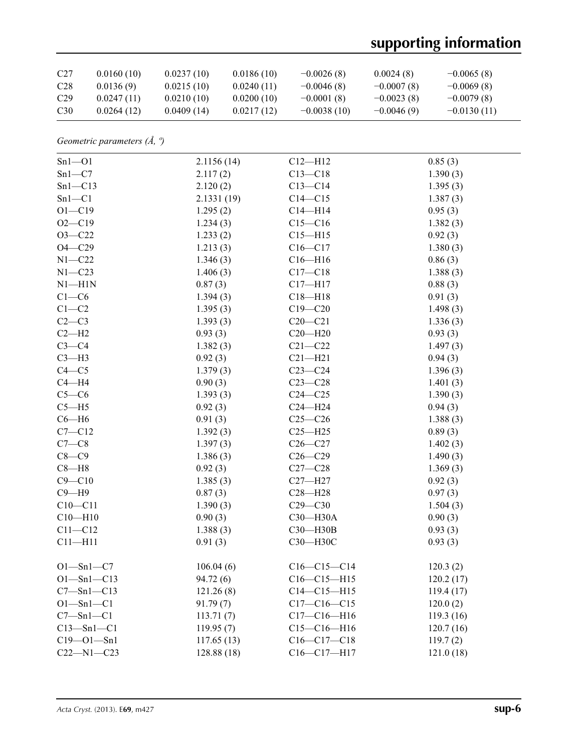# **supporting information**

| C27             | 0.0160(10) | 0.0237(10) | 0.0186(10) | $-0.0026(8)$  | 0.0024(8)    | $-0.0065(8)$  |
|-----------------|------------|------------|------------|---------------|--------------|---------------|
| C <sub>28</sub> | 0.0136(9)  | 0.0215(10) | 0.0240(11) | $-0.0046(8)$  | $-0.0007(8)$ | $-0.0069(8)$  |
| C <sub>29</sub> | 0.0247(11) | 0.0210(10) | 0.0200(10) | $-0.0001(8)$  | $-0.0023(8)$ | $-0.0079(8)$  |
| C30             | 0.0264(12) | 0.0409(14) | 0.0217(12) | $-0.0038(10)$ | $-0.0046(9)$ | $-0.0130(11)$ |

*Geometric parameters (Å, º)*

| $Sn1 - O1$       | 2.1156(14)  | $C12 - H12$       | 0.85(3)   |
|------------------|-------------|-------------------|-----------|
| $Sn1-C7$         | 2.117(2)    | $C13 - C18$       | 1.390(3)  |
| $Sn1-C13$        | 2.120(2)    | $C13 - C14$       | 1.395(3)  |
| $Sn1-C1$         | 2.1331(19)  | $C14 - C15$       | 1.387(3)  |
| $O1 - C19$       | 1.295(2)    | $C14 - H14$       | 0.95(3)   |
| $O2 - C19$       | 1.234(3)    | $C15 - C16$       | 1.382(3)  |
| $O3 - C22$       | 1.233(2)    | $C15 - H15$       | 0.92(3)   |
| $O4 - C29$       | 1.213(3)    | $C16 - C17$       | 1.380(3)  |
| $N1 - C22$       | 1.346(3)    | $C16 - H16$       | 0.86(3)   |
| $N1 - C23$       | 1.406(3)    | $C17 - C18$       | 1.388(3)  |
| $N1 - H1N$       | 0.87(3)     | $C17 - H17$       | 0.88(3)   |
| $C1-C6$          | 1.394(3)    | $C18 - H18$       | 0.91(3)   |
| $C1-C2$          | 1.395(3)    | $C19 - C20$       | 1.498(3)  |
| $C2-C3$          | 1.393(3)    | $C20-C21$         | 1.336(3)  |
| $C2-H2$          | 0.93(3)     | $C20 - H20$       | 0.93(3)   |
| $C3-C4$          | 1.382(3)    | $C21 - C22$       | 1.497(3)  |
| $C3-H3$          | 0.92(3)     | $C21 - H21$       | 0.94(3)   |
| $C4 - C5$        | 1.379(3)    | $C23-C24$         | 1.396(3)  |
| $C4 - H4$        | 0.90(3)     | $C23-C28$         | 1.401(3)  |
| $C5-C6$          | 1.393(3)    | $C24 - C25$       | 1.390(3)  |
| $C5 - H5$        | 0.92(3)     | $C24 - H24$       | 0.94(3)   |
| $C6 - H6$        | 0.91(3)     | $C25-C26$         | 1.388(3)  |
| $C7 - C12$       | 1.392(3)    | $C25 - H25$       | 0.89(3)   |
| $C7-C8$          | 1.397(3)    | $C26-C27$         | 1.402(3)  |
| $C8-C9$          | 1.386(3)    | $C26-C29$         | 1.490(3)  |
| $C8 - H8$        | 0.92(3)     | $C27-C28$         | 1.369(3)  |
| $C9 - C10$       | 1.385(3)    | $C27 - H27$       | 0.92(3)   |
| $C9 - H9$        | 0.87(3)     | $C28 - H28$       | 0.97(3)   |
| $C10 - C11$      | 1.390(3)    | $C29 - C30$       | 1.504(3)  |
| $C10 - H10$      | 0.90(3)     | C30-H30A          | 0.90(3)   |
| $C11 - C12$      | 1.388(3)    | C30-H30B          | 0.93(3)   |
| $C11 - H11$      | 0.91(3)     | СЗ0-НЗ0С          | 0.93(3)   |
| $O1 - Sn1 - C7$  | 106.04(6)   | $C16-C15-C14$     | 120.3(2)  |
| $O1 - Sn1 - C13$ | 94.72 (6)   | $C16 - C15 - H15$ | 120.2(17) |
| $C7 - Sn1 - C13$ | 121.26(8)   | $C14 - C15 - H15$ | 119.4(17) |
| $O1 - Sn1 - C1$  | 91.79(7)    | $C17-C16-C15$     | 120.0(2)  |
| $C7 - Sn1 - C1$  | 113.71(7)   | $C17 - C16 - H16$ | 119.3(16) |
| $C13 - Sn1 - C1$ | 119.95(7)   | $C15-C16-H16$     | 120.7(16) |
| $C19 - O1 - Sn1$ | 117.65(13)  | $C16-C17-C18$     | 119.7(2)  |
| $C22 - N1 - C23$ | 128.88 (18) | C16-C17-H17       | 121.0(18) |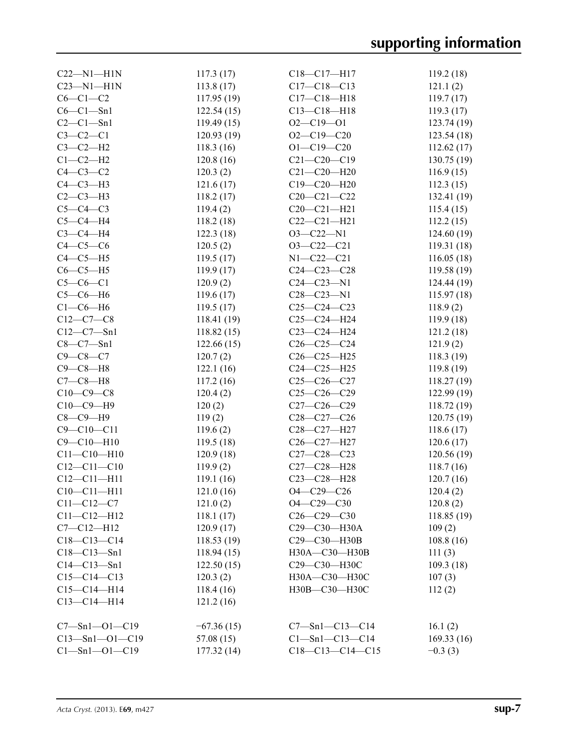| $C22-M1-H1N$           | 117.3(17)    | $C18 - C17 - H17$      | 119.2(18)   |
|------------------------|--------------|------------------------|-------------|
| $C23 - N1 - H1N$       | 113.8(17)    | $C17 - C18 - C13$      | 121.1(2)    |
| $C6-C1-C2$             | 117.95(19)   | $C17 - C18 - H18$      | 119.7(17)   |
| $C6-C1-Sn1$            | 122.54(15)   | $C13 - C18 - H18$      | 119.3(17)   |
| $C2-C1-Sn1$            | 119.49(15)   | $O2 - C19 - O1$        | 123.74 (19) |
| $C3-C2-C1$             | 120.93(19)   | $O2 - C19 - C20$       | 123.54(18)  |
| $C3-C2-H2$             | 118.3(16)    | $O1 - C19 - C20$       | 112.62(17)  |
| $C1-C2-H2$             | 120.8(16)    | $C21 - C20 - C19$      | 130.75 (19) |
| $C4-C3-C2$             | 120.3(2)     | $C21 - C20 - H20$      | 116.9(15)   |
| $C4-C3-H3$             | 121.6(17)    | $C19 - C20 - H20$      | 112.3(15)   |
| $C2-C3-H3$             | 118.2(17)    | $C20 - C21 - C22$      | 132.41 (19) |
| $C5-C4-C3$             | 119.4(2)     | $C20-C21-H21$          | 115.4(15)   |
| $C5-C4-H4$             | 118.2(18)    | $C22-C21-H21$          | 112.2(15)   |
| $C3-C4-H4$             | 122.3(18)    | $O3 - C22 - N1$        | 124.60(19)  |
| $C4-C5-C6$             | 120.5(2)     | $O3-C22-C21$           | 119.31(18)  |
| $C4-C5-H5$             | 119.5(17)    | $N1 - C22 - C21$       | 116.05(18)  |
| $C6-C5-H5$             | 119.9(17)    | $C24 - C23 - C28$      | 119.58 (19) |
| $C5-C6-C1$             | 120.9(2)     | $C24 - C23 - N1$       | 124.44 (19) |
| $C5-C6-H6$             | 119.6(17)    | $C28 - C23 - N1$       | 115.97(18)  |
| $C1-C6-H6$             | 119.5(17)    | $C25-C24-C23$          | 118.9(2)    |
| $C12-C7-C8$            | 118.41(19)   | $C25-C24-H24$          | 119.9 (18)  |
| $C12 - C7 - Sn1$       | 118.82(15)   | C23-C24-H24            | 121.2(18)   |
| $C8 - C7 - Sn1$        | 122.66(15)   | $C26 - C25 - C24$      | 121.9(2)    |
| $C9 - C8 - C7$         | 120.7(2)     | $C26 - C25 - H25$      | 118.3(19)   |
| $C9 - C8 - H8$         | 122.1(16)    | C24-C25-H25            | 119.8(19)   |
| $C7-C8-H8$             | 117.2(16)    | $C25-C26-C27$          | 118.27(19)  |
| $C10-C9-C8$            | 120.4(2)     | $C25-C26-C29$          | 122.99 (19) |
| $C10-C9-H9$            | 120(2)       | $C27-C26-C29$          | 118.72 (19) |
| $C8-C9-H9$             | 119(2)       | $C28 - C27 - C26$      | 120.75(19)  |
| $C9 - C10 - C11$       | 119.6(2)     | C28-C27-H27            | 118.6(17)   |
| $C9 - C10 - H10$       | 119.5(18)    | C26-C27-H27            | 120.6(17)   |
| $C11 - C10 - H10$      | 120.9(18)    | $C27 - C28 - C23$      | 120.56(19)  |
| $C12 - C11 - C10$      | 119.9(2)     | C27-C28-H28            | 118.7(16)   |
| $C12 - C11 - H11$      | 119.1(16)    | C23-C28-H28            | 120.7(16)   |
| $C10 - C11 - H11$      | 121.0(16)    | $O4 - C29 - C26$       | 120.4(2)    |
| $C11 - C12 - C7$       | 121.0(2)     | $O4 - C29 - C30$       | 120.8(2)    |
| $C11 - C12 - H12$      | 118.1(17)    | $C26-C29-C30$          | 118.85 (19) |
| $C7 - C12 - H12$       | 120.9(17)    | C29-C30-H30A           | 109(2)      |
| $C18 - C13 - C14$      | 118.53(19)   | C29-C30-H30B           | 108.8(16)   |
| $C18 - C13 - Sn1$      | 118.94(15)   | H30A-C30-H30B          | 111(3)      |
| $C14 - C13 - Sn1$      | 122.50(15)   | С29-С30-Н30С           | 109.3(18)   |
| $C15-C14-C13$          | 120.3(2)     | H30A-C30-H30C          | 107(3)      |
| $C15 - C14 - H14$      | 118.4(16)    | H30B-C30-H30C          | 112(2)      |
| $C13 - C14 - H14$      | 121.2(16)    |                        |             |
|                        |              |                        |             |
| $C7 - Sn1 - O1 - C19$  | $-67.36(15)$ | $C7 - Sn1 - C13 - C14$ | 16.1(2)     |
| $C13 - Sn1 - O1 - C19$ | 57.08(15)    | $Cl - Sn1 - Cl3 - Cl4$ | 169.33(16)  |
| $Cl - Sn1 - O1 - Cl9$  | 177.32(14)   | $C18-C13-C14-C15$      | $-0.3(3)$   |
|                        |              |                        |             |